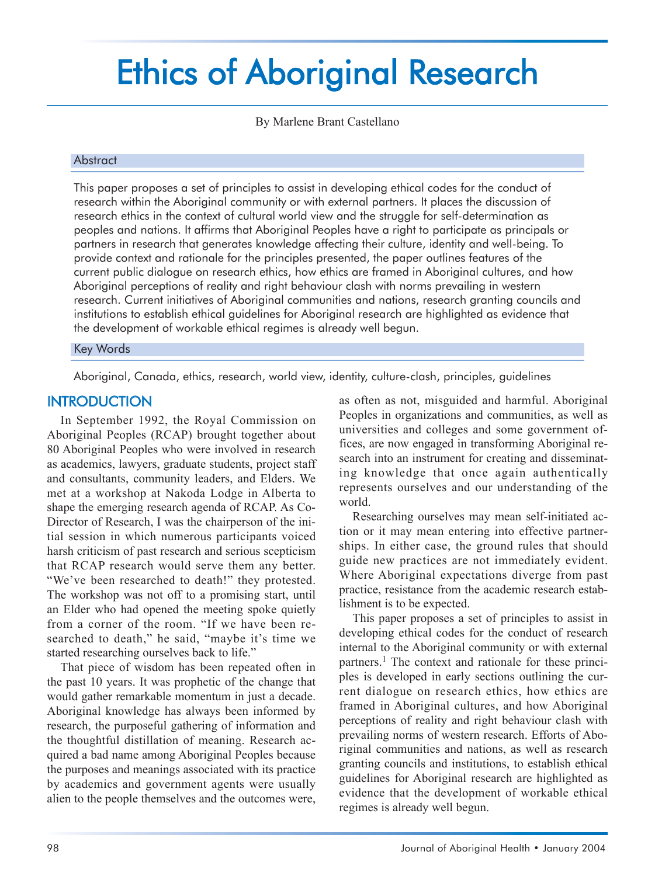# Ethics of Aboriginal Research

By Marlene Brant Castellano

#### **Abstract**

This paper proposes a set of principles to assist in developing ethical codes for the conduct of research within the Aboriginal community or with external partners. It places the discussion of research ethics in the context of cultural world view and the struggle for self-determination as peoples and nations. It affirms that Aboriginal Peoples have a right to participate as principals or partners in research that generates knowledge affecting their culture, identity and well-being. To provide context and rationale for the principles presented, the paper outlines features of the current public dialogue on research ethics, how ethics are framed in Aboriginal cultures, and how Aboriginal perceptions of reality and right behaviour clash with norms prevailing in western research. Current initiatives of Aboriginal communities and nations, research granting councils and institutions to establish ethical guidelines for Aboriginal research are highlighted as evidence that the development of workable ethical regimes is already well begun.

#### Key Words

Aboriginal, Canada, ethics, research, world view, identity, culture-clash, principles, guidelines

#### **INTRODUCTION**

In September 1992, the Royal Commission on Aboriginal Peoples (RCAP) brought together about 80 Aboriginal Peoples who were involved in research as academics, lawyers, graduate students, project staff and consultants, community leaders, and Elders. We met at a workshop at Nakoda Lodge in Alberta to shape the emerging research agenda of RCAP. As Co-Director of Research, I was the chairperson of the initial session in which numerous participants voiced harsh criticism of past research and serious scepticism that RCAP research would serve them any better. "We've been researched to death!" they protested. The workshop was not off to a promising start, until an Elder who had opened the meeting spoke quietly from a corner of the room. "If we have been researched to death," he said, "maybe it's time we started researching ourselves back to life."

That piece of wisdom has been repeated often in the past 10 years. It was prophetic of the change that would gather remarkable momentum in just a decade. Aboriginal knowledge has always been informed by research, the purposeful gathering of information and the thoughtful distillation of meaning. Research acquired a bad name among Aboriginal Peoples because the purposes and meanings associated with its practice by academics and government agents were usually alien to the people themselves and the outcomes were,

as often as not, misguided and harmful. Aboriginal Peoples in organizations and communities, as well as universities and colleges and some government offices, are now engaged in transforming Aboriginal research into an instrument for creating and disseminating knowledge that once again authentically represents ourselves and our understanding of the world.

Researching ourselves may mean self-initiated action or it may mean entering into effective partnerships. In either case, the ground rules that should guide new practices are not immediately evident. Where Aboriginal expectations diverge from past practice, resistance from the academic research establishment is to be expected.

This paper proposes a set of principles to assist in developing ethical codes for the conduct of research internal to the Aboriginal community or with external partners.<sup>1</sup> The context and rationale for these principles is developed in early sections outlining the current dialogue on research ethics, how ethics are framed in Aboriginal cultures, and how Aboriginal perceptions of reality and right behaviour clash with prevailing norms of western research. Efforts of Aboriginal communities and nations, as well as research granting councils and institutions, to establish ethical guidelines for Aboriginal research are highlighted as evidence that the development of workable ethical regimes is already well begun.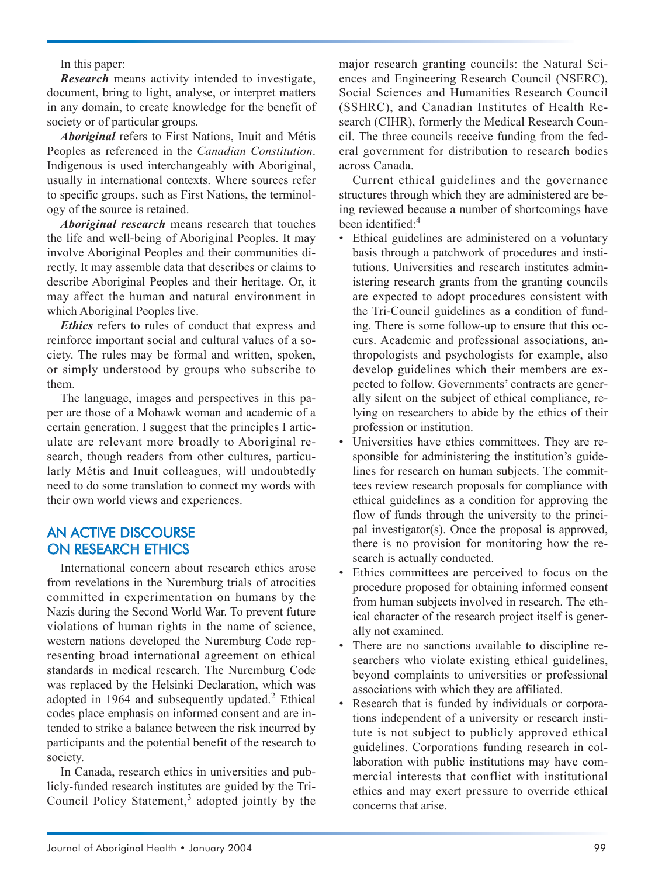In this paper:

*Research* means activity intended to investigate, document, bring to light, analyse, or interpret matters in any domain, to create knowledge for the benefit of society or of particular groups.

*Aboriginal* refers to First Nations, Inuit and Métis Peoples as referenced in the *Canadian Constitution*. Indigenous is used interchangeably with Aboriginal, usually in international contexts. Where sources refer to specific groups, such as First Nations, the terminology of the source is retained.

*Aboriginal research* means research that touches the life and well-being of Aboriginal Peoples. It may involve Aboriginal Peoples and their communities directly. It may assemble data that describes or claims to describe Aboriginal Peoples and their heritage. Or, it may affect the human and natural environment in which Aboriginal Peoples live.

*Ethics* refers to rules of conduct that express and reinforce important social and cultural values of a society. The rules may be formal and written, spoken, or simply understood by groups who subscribe to them.

The language, images and perspectives in this paper are those of a Mohawk woman and academic of a certain generation. I suggest that the principles I articulate are relevant more broadly to Aboriginal research, though readers from other cultures, particularly Métis and Inuit colleagues, will undoubtedly need to do some translation to connect my words with their own world views and experiences.

#### AN ACTIVE DISCOURSE ON RESEARCH ETHICS

International concern about research ethics arose from revelations in the Nuremburg trials of atrocities committed in experimentation on humans by the Nazis during the Second World War. To prevent future violations of human rights in the name of science, western nations developed the Nuremburg Code representing broad international agreement on ethical standards in medical research. The Nuremburg Code was replaced by the Helsinki Declaration, which was adopted in 1964 and subsequently updated.<sup>2</sup> Ethical codes place emphasis on informed consent and are intended to strike a balance between the risk incurred by participants and the potential benefit of the research to society.

In Canada, research ethics in universities and publicly-funded research institutes are guided by the Tri-Council Policy Statement, $3$  adopted jointly by the

major research granting councils: the Natural Sciences and Engineering Research Council (NSERC), Social Sciences and Humanities Research Council (SSHRC), and Canadian Institutes of Health Research (CIHR), formerly the Medical Research Council. The three councils receive funding from the federal government for distribution to research bodies across Canada.

Current ethical guidelines and the governance structures through which they are administered are being reviewed because a number of shortcomings have been identified:4

- Ethical guidelines are administered on a voluntary basis through a patchwork of procedures and institutions. Universities and research institutes administering research grants from the granting councils are expected to adopt procedures consistent with the Tri-Council guidelines as a condition of funding. There is some follow-up to ensure that this occurs. Academic and professional associations, anthropologists and psychologists for example, also develop guidelines which their members are expected to follow. Governments' contracts are generally silent on the subject of ethical compliance, relying on researchers to abide by the ethics of their profession or institution.
- Universities have ethics committees. They are responsible for administering the institution's guidelines for research on human subjects. The committees review research proposals for compliance with ethical guidelines as a condition for approving the flow of funds through the university to the principal investigator(s). Once the proposal is approved, there is no provision for monitoring how the research is actually conducted.
- Ethics committees are perceived to focus on the procedure proposed for obtaining informed consent from human subjects involved in research. The ethical character of the research project itself is generally not examined.
- There are no sanctions available to discipline researchers who violate existing ethical guidelines, beyond complaints to universities or professional associations with which they are affiliated.
- Research that is funded by individuals or corporations independent of a university or research institute is not subject to publicly approved ethical guidelines. Corporations funding research in collaboration with public institutions may have commercial interests that conflict with institutional ethics and may exert pressure to override ethical concerns that arise.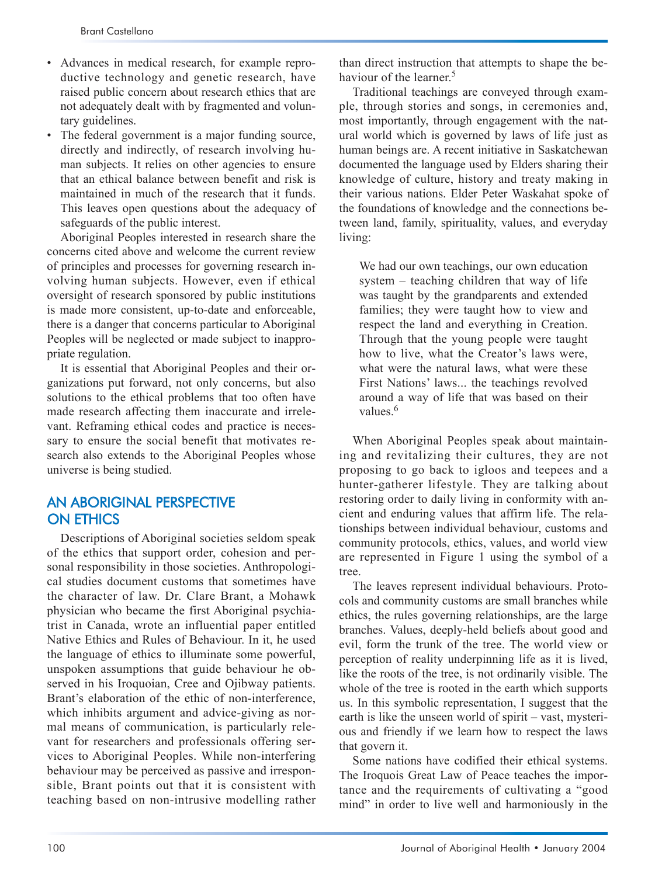- Advances in medical research, for example reproductive technology and genetic research, have raised public concern about research ethics that are not adequately dealt with by fragmented and voluntary guidelines.
- The federal government is a major funding source, directly and indirectly, of research involving human subjects. It relies on other agencies to ensure that an ethical balance between benefit and risk is maintained in much of the research that it funds. This leaves open questions about the adequacy of safeguards of the public interest.

Aboriginal Peoples interested in research share the concerns cited above and welcome the current review of principles and processes for governing research involving human subjects. However, even if ethical oversight of research sponsored by public institutions is made more consistent, up-to-date and enforceable, there is a danger that concerns particular to Aboriginal Peoples will be neglected or made subject to inappropriate regulation.

It is essential that Aboriginal Peoples and their organizations put forward, not only concerns, but also solutions to the ethical problems that too often have made research affecting them inaccurate and irrelevant. Reframing ethical codes and practice is necessary to ensure the social benefit that motivates research also extends to the Aboriginal Peoples whose universe is being studied.

#### AN ABORIGINAL PERSPECTIVE ON ETHICS

Descriptions of Aboriginal societies seldom speak of the ethics that support order, cohesion and personal responsibility in those societies. Anthropological studies document customs that sometimes have the character of law. Dr. Clare Brant, a Mohawk physician who became the first Aboriginal psychiatrist in Canada, wrote an influential paper entitled Native Ethics and Rules of Behaviour. In it, he used the language of ethics to illuminate some powerful, unspoken assumptions that guide behaviour he observed in his Iroquoian, Cree and Ojibway patients. Brant's elaboration of the ethic of non-interference, which inhibits argument and advice-giving as normal means of communication, is particularly relevant for researchers and professionals offering services to Aboriginal Peoples. While non-interfering behaviour may be perceived as passive and irresponsible, Brant points out that it is consistent with teaching based on non-intrusive modelling rather than direct instruction that attempts to shape the behaviour of the learner.<sup>5</sup>

Traditional teachings are conveyed through example, through stories and songs, in ceremonies and, most importantly, through engagement with the natural world which is governed by laws of life just as human beings are. A recent initiative in Saskatchewan documented the language used by Elders sharing their knowledge of culture, history and treaty making in their various nations. Elder Peter Waskahat spoke of the foundations of knowledge and the connections between land, family, spirituality, values, and everyday living:

We had our own teachings, our own education system – teaching children that way of life was taught by the grandparents and extended families; they were taught how to view and respect the land and everything in Creation. Through that the young people were taught how to live, what the Creator's laws were, what were the natural laws, what were these First Nations' laws... the teachings revolved around a way of life that was based on their values.<sup>6</sup>

When Aboriginal Peoples speak about maintaining and revitalizing their cultures, they are not proposing to go back to igloos and teepees and a hunter-gatherer lifestyle. They are talking about restoring order to daily living in conformity with ancient and enduring values that affirm life. The relationships between individual behaviour, customs and community protocols, ethics, values, and world view are represented in Figure 1 using the symbol of a tree.

The leaves represent individual behaviours. Protocols and community customs are small branches while ethics, the rules governing relationships, are the large branches. Values, deeply-held beliefs about good and evil, form the trunk of the tree. The world view or perception of reality underpinning life as it is lived, like the roots of the tree, is not ordinarily visible. The whole of the tree is rooted in the earth which supports us. In this symbolic representation, I suggest that the earth is like the unseen world of spirit – vast, mysterious and friendly if we learn how to respect the laws that govern it.

Some nations have codified their ethical systems. The Iroquois Great Law of Peace teaches the importance and the requirements of cultivating a "good mind" in order to live well and harmoniously in the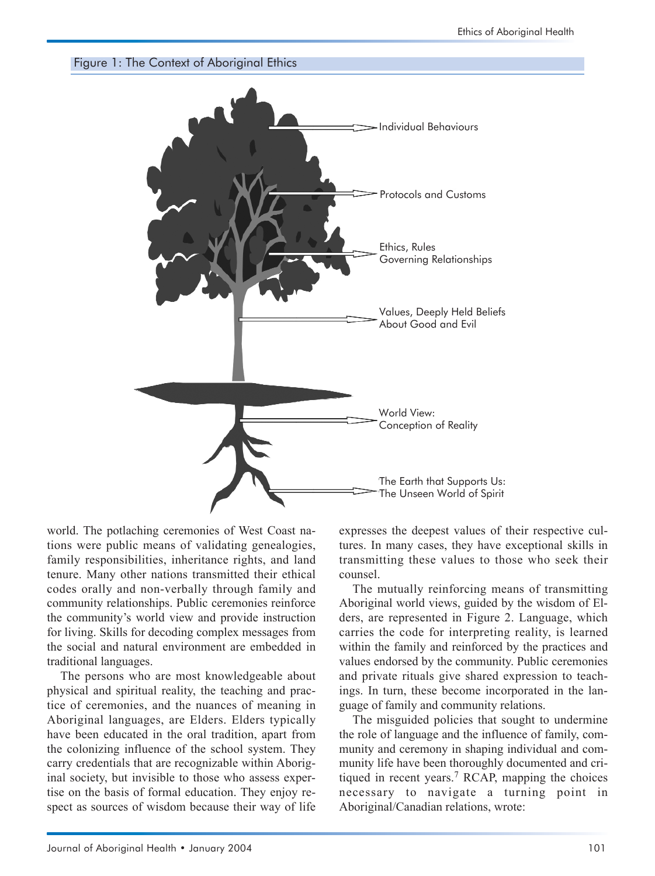

world. The potlaching ceremonies of West Coast nations were public means of validating genealogies, family responsibilities, inheritance rights, and land tenure. Many other nations transmitted their ethical codes orally and non-verbally through family and community relationships. Public ceremonies reinforce the community's world view and provide instruction for living. Skills for decoding complex messages from the social and natural environment are embedded in traditional languages.

The persons who are most knowledgeable about physical and spiritual reality, the teaching and practice of ceremonies, and the nuances of meaning in Aboriginal languages, are Elders. Elders typically have been educated in the oral tradition, apart from the colonizing influence of the school system. They carry credentials that are recognizable within Aboriginal society, but invisible to those who assess expertise on the basis of formal education. They enjoy respect as sources of wisdom because their way of life

expresses the deepest values of their respective cultures. In many cases, they have exceptional skills in transmitting these values to those who seek their counsel.

The mutually reinforcing means of transmitting Aboriginal world views, guided by the wisdom of Elders, are represented in Figure 2. Language, which carries the code for interpreting reality, is learned within the family and reinforced by the practices and values endorsed by the community. Public ceremonies and private rituals give shared expression to teachings. In turn, these become incorporated in the language of family and community relations.

The misguided policies that sought to undermine the role of language and the influence of family, community and ceremony in shaping individual and community life have been thoroughly documented and critiqued in recent years.<sup>7</sup> RCAP, mapping the choices necessary to navigate a turning point in Aboriginal/Canadian relations, wrote: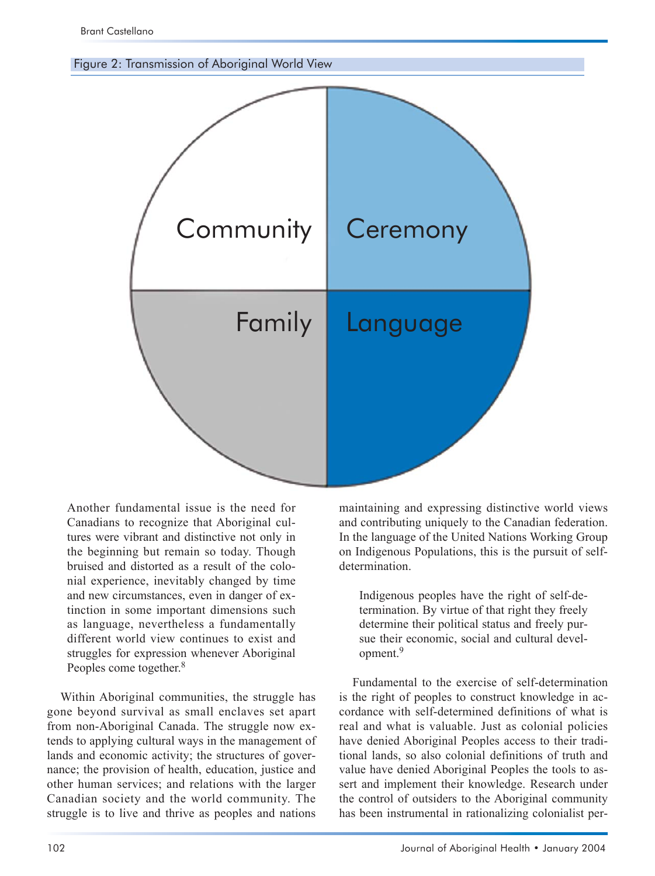Figure 2: Transmission of Aboriginal World View



Another fundamental issue is the need for Canadians to recognize that Aboriginal cultures were vibrant and distinctive not only in the beginning but remain so today. Though bruised and distorted as a result of the colonial experience, inevitably changed by time and new circumstances, even in danger of extinction in some important dimensions such as language, nevertheless a fundamentally different world view continues to exist and struggles for expression whenever Aboriginal Peoples come together.<sup>8</sup>

Within Aboriginal communities, the struggle has gone beyond survival as small enclaves set apart from non-Aboriginal Canada. The struggle now extends to applying cultural ways in the management of lands and economic activity; the structures of governance; the provision of health, education, justice and other human services; and relations with the larger Canadian society and the world community. The struggle is to live and thrive as peoples and nations

maintaining and expressing distinctive world views and contributing uniquely to the Canadian federation. In the language of the United Nations Working Group on Indigenous Populations, this is the pursuit of selfdetermination.

Indigenous peoples have the right of self-determination. By virtue of that right they freely determine their political status and freely pursue their economic, social and cultural development.<sup>9</sup>

Fundamental to the exercise of self-determination is the right of peoples to construct knowledge in accordance with self-determined definitions of what is real and what is valuable. Just as colonial policies have denied Aboriginal Peoples access to their traditional lands, so also colonial definitions of truth and value have denied Aboriginal Peoples the tools to assert and implement their knowledge. Research under the control of outsiders to the Aboriginal community has been instrumental in rationalizing colonialist per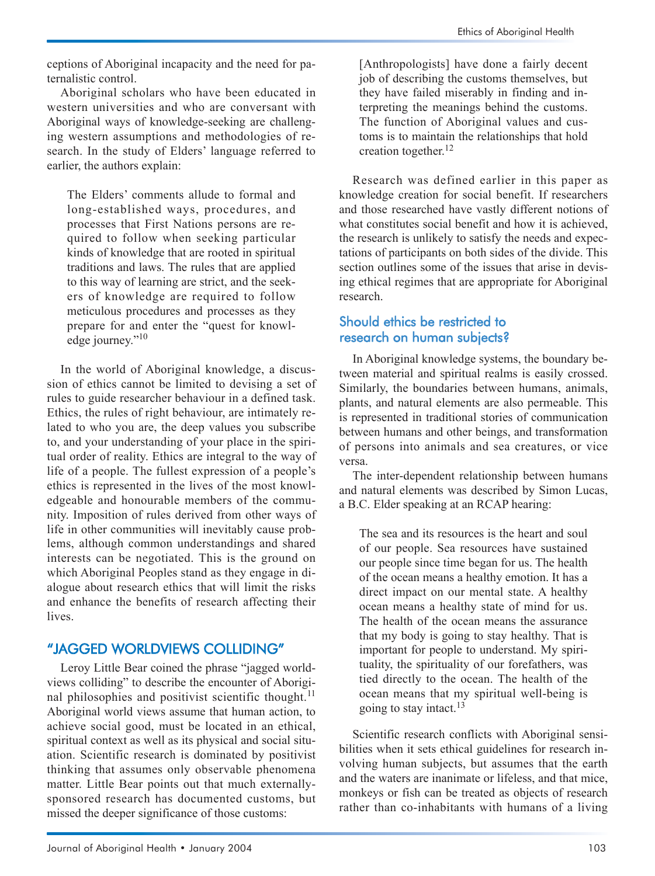ceptions of Aboriginal incapacity and the need for paternalistic control.

Aboriginal scholars who have been educated in western universities and who are conversant with Aboriginal ways of knowledge-seeking are challenging western assumptions and methodologies of research. In the study of Elders' language referred to earlier, the authors explain:

The Elders' comments allude to formal and long-established ways, procedures, and processes that First Nations persons are required to follow when seeking particular kinds of knowledge that are rooted in spiritual traditions and laws. The rules that are applied to this way of learning are strict, and the seekers of knowledge are required to follow meticulous procedures and processes as they prepare for and enter the "quest for knowledge journey."<sup>10</sup>

In the world of Aboriginal knowledge, a discussion of ethics cannot be limited to devising a set of rules to guide researcher behaviour in a defined task. Ethics, the rules of right behaviour, are intimately related to who you are, the deep values you subscribe to, and your understanding of your place in the spiritual order of reality. Ethics are integral to the way of life of a people. The fullest expression of a people's ethics is represented in the lives of the most knowledgeable and honourable members of the community. Imposition of rules derived from other ways of life in other communities will inevitably cause problems, although common understandings and shared interests can be negotiated. This is the ground on which Aboriginal Peoples stand as they engage in dialogue about research ethics that will limit the risks and enhance the benefits of research affecting their **lives** 

## "JAGGED WORLDVIEWS COLLIDING"

Leroy Little Bear coined the phrase "jagged worldviews colliding" to describe the encounter of Aboriginal philosophies and positivist scientific thought.<sup>11</sup> Aboriginal world views assume that human action, to achieve social good, must be located in an ethical, spiritual context as well as its physical and social situation. Scientific research is dominated by positivist thinking that assumes only observable phenomena matter. Little Bear points out that much externallysponsored research has documented customs, but missed the deeper significance of those customs:

[Anthropologists] have done a fairly decent job of describing the customs themselves, but they have failed miserably in finding and interpreting the meanings behind the customs. The function of Aboriginal values and customs is to maintain the relationships that hold creation together.<sup>12</sup>

Research was defined earlier in this paper as knowledge creation for social benefit. If researchers and those researched have vastly different notions of what constitutes social benefit and how it is achieved, the research is unlikely to satisfy the needs and expectations of participants on both sides of the divide. This section outlines some of the issues that arise in devising ethical regimes that are appropriate for Aboriginal research.

### Should ethics be restricted to research on human subjects?

In Aboriginal knowledge systems, the boundary between material and spiritual realms is easily crossed. Similarly, the boundaries between humans, animals, plants, and natural elements are also permeable. This is represented in traditional stories of communication between humans and other beings, and transformation of persons into animals and sea creatures, or vice versa.

The inter-dependent relationship between humans and natural elements was described by Simon Lucas, a B.C. Elder speaking at an RCAP hearing:

The sea and its resources is the heart and soul of our people. Sea resources have sustained our people since time began for us. The health of the ocean means a healthy emotion. It has a direct impact on our mental state. A healthy ocean means a healthy state of mind for us. The health of the ocean means the assurance that my body is going to stay healthy. That is important for people to understand. My spirituality, the spirituality of our forefathers, was tied directly to the ocean. The health of the ocean means that my spiritual well-being is going to stay intact.<sup>13</sup>

Scientific research conflicts with Aboriginal sensibilities when it sets ethical guidelines for research involving human subjects, but assumes that the earth and the waters are inanimate or lifeless, and that mice, monkeys or fish can be treated as objects of research rather than co-inhabitants with humans of a living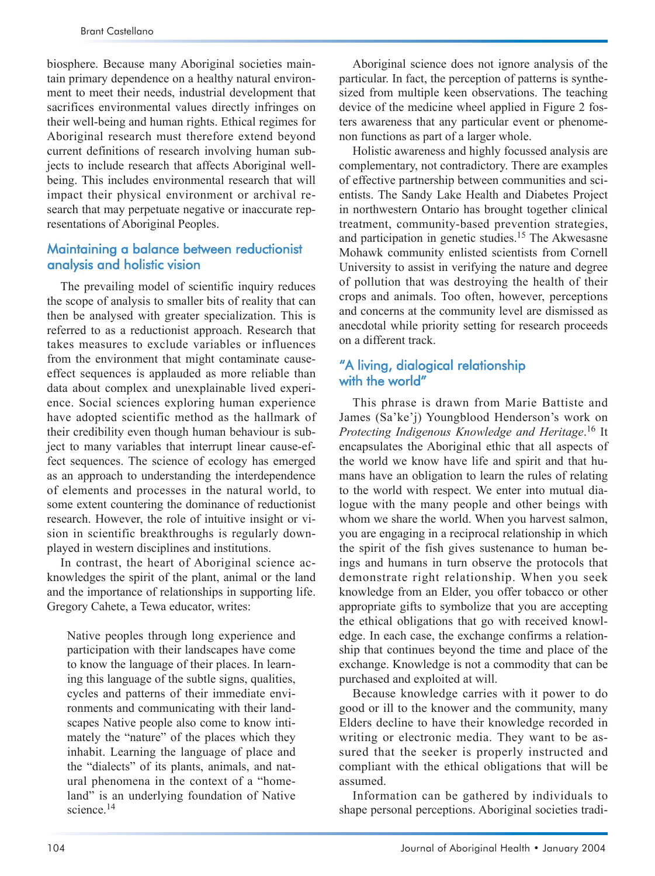biosphere. Because many Aboriginal societies maintain primary dependence on a healthy natural environment to meet their needs, industrial development that sacrifices environmental values directly infringes on their well-being and human rights. Ethical regimes for Aboriginal research must therefore extend beyond current definitions of research involving human subjects to include research that affects Aboriginal wellbeing. This includes environmental research that will impact their physical environment or archival research that may perpetuate negative or inaccurate representations of Aboriginal Peoples.

#### Maintaining a balance between reductionist analysis and holistic vision

The prevailing model of scientific inquiry reduces the scope of analysis to smaller bits of reality that can then be analysed with greater specialization. This is referred to as a reductionist approach. Research that takes measures to exclude variables or influences from the environment that might contaminate causeeffect sequences is applauded as more reliable than data about complex and unexplainable lived experience. Social sciences exploring human experience have adopted scientific method as the hallmark of their credibility even though human behaviour is subject to many variables that interrupt linear cause-effect sequences. The science of ecology has emerged as an approach to understanding the interdependence of elements and processes in the natural world, to some extent countering the dominance of reductionist research. However, the role of intuitive insight or vision in scientific breakthroughs is regularly downplayed in western disciplines and institutions.

In contrast, the heart of Aboriginal science acknowledges the spirit of the plant, animal or the land and the importance of relationships in supporting life. Gregory Cahete, a Tewa educator, writes:

Native peoples through long experience and participation with their landscapes have come to know the language of their places. In learning this language of the subtle signs, qualities, cycles and patterns of their immediate environments and communicating with their landscapes Native people also come to know intimately the "nature" of the places which they inhabit. Learning the language of place and the "dialects" of its plants, animals, and natural phenomena in the context of a "homeland" is an underlying foundation of Native science.<sup>14</sup>

Aboriginal science does not ignore analysis of the particular. In fact, the perception of patterns is synthesized from multiple keen observations. The teaching device of the medicine wheel applied in Figure 2 fosters awareness that any particular event or phenomenon functions as part of a larger whole.

Holistic awareness and highly focussed analysis are complementary, not contradictory. There are examples of effective partnership between communities and scientists. The Sandy Lake Health and Diabetes Project in northwestern Ontario has brought together clinical treatment, community-based prevention strategies, and participation in genetic studies.<sup>15</sup> The Akwesasne Mohawk community enlisted scientists from Cornell University to assist in verifying the nature and degree of pollution that was destroying the health of their crops and animals. Too often, however, perceptions and concerns at the community level are dismissed as anecdotal while priority setting for research proceeds on a different track.

#### "A living, dialogical relationship with the world"

This phrase is drawn from Marie Battiste and James (Sa'ke'j) Youngblood Henderson's work on *Protecting Indigenous Knowledge and Heritage*. <sup>16</sup> It encapsulates the Aboriginal ethic that all aspects of the world we know have life and spirit and that humans have an obligation to learn the rules of relating to the world with respect. We enter into mutual dialogue with the many people and other beings with whom we share the world. When you harvest salmon, you are engaging in a reciprocal relationship in which the spirit of the fish gives sustenance to human beings and humans in turn observe the protocols that demonstrate right relationship. When you seek knowledge from an Elder, you offer tobacco or other appropriate gifts to symbolize that you are accepting the ethical obligations that go with received knowledge. In each case, the exchange confirms a relationship that continues beyond the time and place of the exchange. Knowledge is not a commodity that can be purchased and exploited at will.

Because knowledge carries with it power to do good or ill to the knower and the community, many Elders decline to have their knowledge recorded in writing or electronic media. They want to be assured that the seeker is properly instructed and compliant with the ethical obligations that will be assumed.

Information can be gathered by individuals to shape personal perceptions. Aboriginal societies tradi-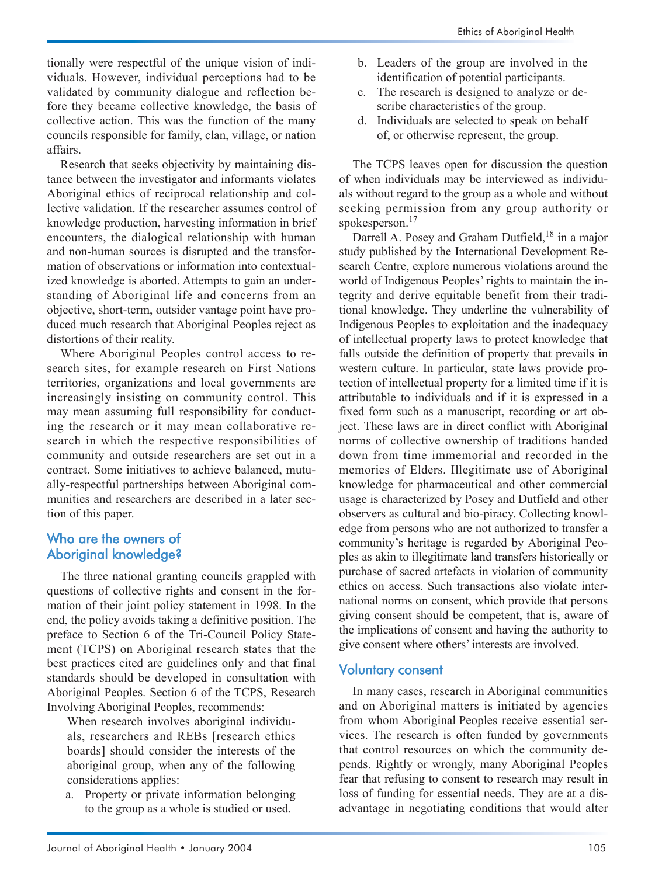tionally were respectful of the unique vision of individuals. However, individual perceptions had to be validated by community dialogue and reflection before they became collective knowledge, the basis of collective action. This was the function of the many councils responsible for family, clan, village, or nation affairs.

Research that seeks objectivity by maintaining distance between the investigator and informants violates Aboriginal ethics of reciprocal relationship and collective validation. If the researcher assumes control of knowledge production, harvesting information in brief encounters, the dialogical relationship with human and non-human sources is disrupted and the transformation of observations or information into contextualized knowledge is aborted. Attempts to gain an understanding of Aboriginal life and concerns from an objective, short-term, outsider vantage point have produced much research that Aboriginal Peoples reject as distortions of their reality.

Where Aboriginal Peoples control access to research sites, for example research on First Nations territories, organizations and local governments are increasingly insisting on community control. This may mean assuming full responsibility for conducting the research or it may mean collaborative research in which the respective responsibilities of community and outside researchers are set out in a contract. Some initiatives to achieve balanced, mutually-respectful partnerships between Aboriginal communities and researchers are described in a later section of this paper.

#### Who are the owners of Aboriginal knowledge?

The three national granting councils grappled with questions of collective rights and consent in the formation of their joint policy statement in 1998. In the end, the policy avoids taking a definitive position. The preface to Section 6 of the Tri-Council Policy Statement (TCPS) on Aboriginal research states that the best practices cited are guidelines only and that final standards should be developed in consultation with Aboriginal Peoples. Section 6 of the TCPS, Research Involving Aboriginal Peoples, recommends:

When research involves aboriginal individuals, researchers and REBs [research ethics boards] should consider the interests of the aboriginal group, when any of the following considerations applies:

a. Property or private information belonging to the group as a whole is studied or used.

- b. Leaders of the group are involved in the identification of potential participants.
- c. The research is designed to analyze or describe characteristics of the group.
- d. Individuals are selected to speak on behalf of, or otherwise represent, the group.

The TCPS leaves open for discussion the question of when individuals may be interviewed as individuals without regard to the group as a whole and without seeking permission from any group authority or spokesperson.<sup>17</sup>

Darrell A. Posey and Graham Dutfield,<sup>18</sup> in a major study published by the International Development Research Centre, explore numerous violations around the world of Indigenous Peoples' rights to maintain the integrity and derive equitable benefit from their traditional knowledge. They underline the vulnerability of Indigenous Peoples to exploitation and the inadequacy of intellectual property laws to protect knowledge that falls outside the definition of property that prevails in western culture. In particular, state laws provide protection of intellectual property for a limited time if it is attributable to individuals and if it is expressed in a fixed form such as a manuscript, recording or art object. These laws are in direct conflict with Aboriginal norms of collective ownership of traditions handed down from time immemorial and recorded in the memories of Elders. Illegitimate use of Aboriginal knowledge for pharmaceutical and other commercial usage is characterized by Posey and Dutfield and other observers as cultural and bio-piracy. Collecting knowledge from persons who are not authorized to transfer a community's heritage is regarded by Aboriginal Peoples as akin to illegitimate land transfers historically or purchase of sacred artefacts in violation of community ethics on access. Such transactions also violate international norms on consent, which provide that persons giving consent should be competent, that is, aware of the implications of consent and having the authority to give consent where others' interests are involved.

#### Voluntary consent

In many cases, research in Aboriginal communities and on Aboriginal matters is initiated by agencies from whom Aboriginal Peoples receive essential services. The research is often funded by governments that control resources on which the community depends. Rightly or wrongly, many Aboriginal Peoples fear that refusing to consent to research may result in loss of funding for essential needs. They are at a disadvantage in negotiating conditions that would alter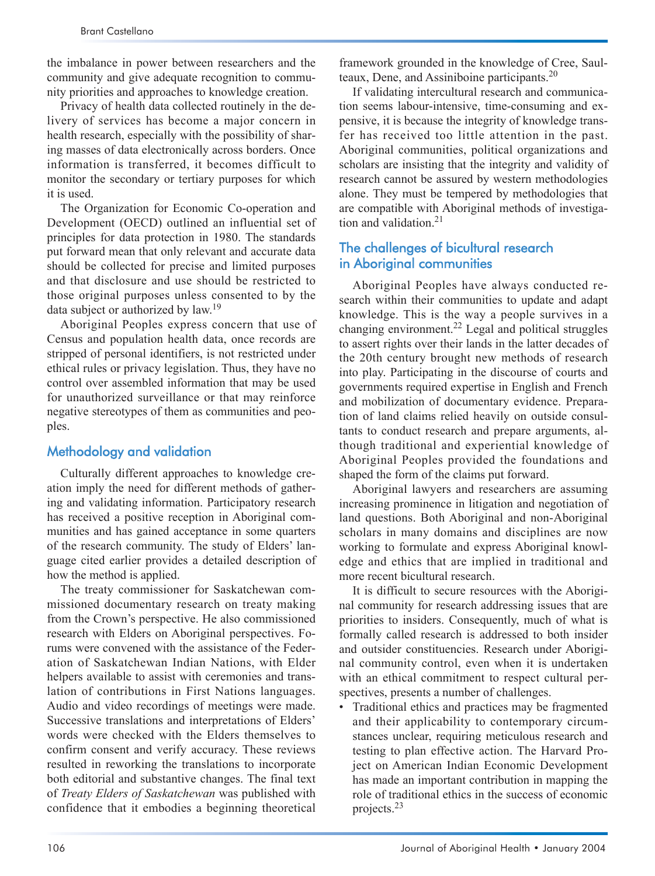the imbalance in power between researchers and the community and give adequate recognition to community priorities and approaches to knowledge creation.

Privacy of health data collected routinely in the delivery of services has become a major concern in health research, especially with the possibility of sharing masses of data electronically across borders. Once information is transferred, it becomes difficult to monitor the secondary or tertiary purposes for which it is used.

The Organization for Economic Co-operation and Development (OECD) outlined an influential set of principles for data protection in 1980. The standards put forward mean that only relevant and accurate data should be collected for precise and limited purposes and that disclosure and use should be restricted to those original purposes unless consented to by the data subject or authorized by law.19

Aboriginal Peoples express concern that use of Census and population health data, once records are stripped of personal identifiers, is not restricted under ethical rules or privacy legislation. Thus, they have no control over assembled information that may be used for unauthorized surveillance or that may reinforce negative stereotypes of them as communities and peoples.

#### Methodology and validation

Culturally different approaches to knowledge creation imply the need for different methods of gathering and validating information. Participatory research has received a positive reception in Aboriginal communities and has gained acceptance in some quarters of the research community. The study of Elders' language cited earlier provides a detailed description of how the method is applied.

The treaty commissioner for Saskatchewan commissioned documentary research on treaty making from the Crown's perspective. He also commissioned research with Elders on Aboriginal perspectives. Forums were convened with the assistance of the Federation of Saskatchewan Indian Nations, with Elder helpers available to assist with ceremonies and translation of contributions in First Nations languages. Audio and video recordings of meetings were made. Successive translations and interpretations of Elders' words were checked with the Elders themselves to confirm consent and verify accuracy. These reviews resulted in reworking the translations to incorporate both editorial and substantive changes. The final text of *Treaty Elders of Saskatchewan* was published with confidence that it embodies a beginning theoretical

framework grounded in the knowledge of Cree, Saulteaux, Dene, and Assiniboine participants.20

If validating intercultural research and communication seems labour-intensive, time-consuming and expensive, it is because the integrity of knowledge transfer has received too little attention in the past. Aboriginal communities, political organizations and scholars are insisting that the integrity and validity of research cannot be assured by western methodologies alone. They must be tempered by methodologies that are compatible with Aboriginal methods of investigation and validation.<sup>21</sup>

### The challenges of bicultural research in Aboriginal communities

Aboriginal Peoples have always conducted research within their communities to update and adapt knowledge. This is the way a people survives in a changing environment.<sup>22</sup> Legal and political struggles to assert rights over their lands in the latter decades of the 20th century brought new methods of research into play. Participating in the discourse of courts and governments required expertise in English and French and mobilization of documentary evidence. Preparation of land claims relied heavily on outside consultants to conduct research and prepare arguments, although traditional and experiential knowledge of Aboriginal Peoples provided the foundations and shaped the form of the claims put forward.

Aboriginal lawyers and researchers are assuming increasing prominence in litigation and negotiation of land questions. Both Aboriginal and non-Aboriginal scholars in many domains and disciplines are now working to formulate and express Aboriginal knowledge and ethics that are implied in traditional and more recent bicultural research.

It is difficult to secure resources with the Aboriginal community for research addressing issues that are priorities to insiders. Consequently, much of what is formally called research is addressed to both insider and outsider constituencies. Research under Aboriginal community control, even when it is undertaken with an ethical commitment to respect cultural perspectives, presents a number of challenges.

• Traditional ethics and practices may be fragmented and their applicability to contemporary circumstances unclear, requiring meticulous research and testing to plan effective action. The Harvard Project on American Indian Economic Development has made an important contribution in mapping the role of traditional ethics in the success of economic projects.23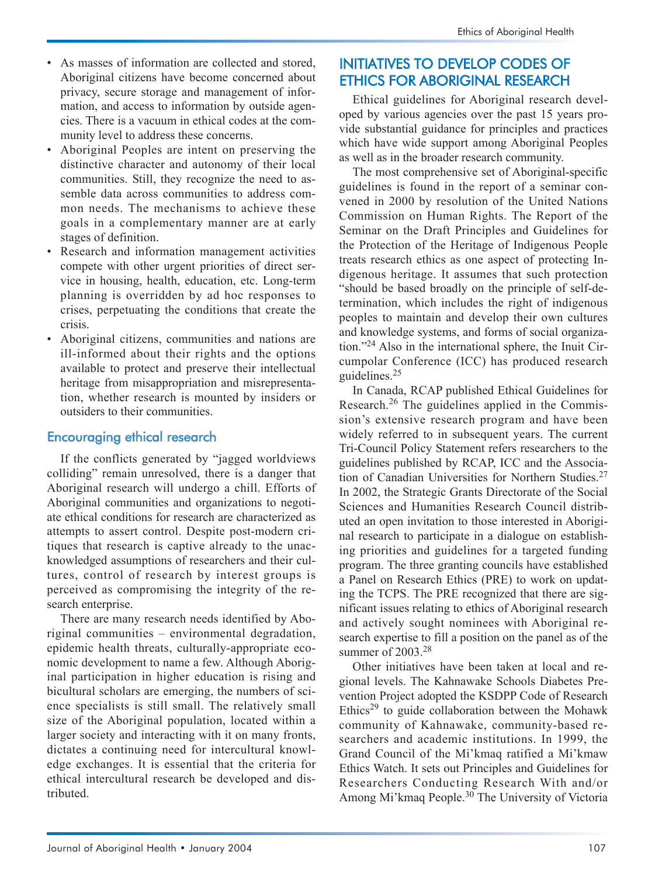- As masses of information are collected and stored, Aboriginal citizens have become concerned about privacy, secure storage and management of information, and access to information by outside agencies. There is a vacuum in ethical codes at the community level to address these concerns.
- Aboriginal Peoples are intent on preserving the distinctive character and autonomy of their local communities. Still, they recognize the need to assemble data across communities to address common needs. The mechanisms to achieve these goals in a complementary manner are at early stages of definition.
- Research and information management activities compete with other urgent priorities of direct service in housing, health, education, etc. Long-term planning is overridden by ad hoc responses to crises, perpetuating the conditions that create the crisis.
- Aboriginal citizens, communities and nations are ill-informed about their rights and the options available to protect and preserve their intellectual heritage from misappropriation and misrepresentation, whether research is mounted by insiders or outsiders to their communities.

#### Encouraging ethical research

If the conflicts generated by "jagged worldviews colliding" remain unresolved, there is a danger that Aboriginal research will undergo a chill. Efforts of Aboriginal communities and organizations to negotiate ethical conditions for research are characterized as attempts to assert control. Despite post-modern critiques that research is captive already to the unacknowledged assumptions of researchers and their cultures, control of research by interest groups is perceived as compromising the integrity of the research enterprise.

There are many research needs identified by Aboriginal communities – environmental degradation, epidemic health threats, culturally-appropriate economic development to name a few. Although Aboriginal participation in higher education is rising and bicultural scholars are emerging, the numbers of science specialists is still small. The relatively small size of the Aboriginal population, located within a larger society and interacting with it on many fronts, dictates a continuing need for intercultural knowledge exchanges. It is essential that the criteria for ethical intercultural research be developed and distributed.

#### INITIATIVES TO DEVELOP CODES OF ETHICS FOR ABORIGINAL RESEARCH

Ethical guidelines for Aboriginal research developed by various agencies over the past 15 years provide substantial guidance for principles and practices which have wide support among Aboriginal Peoples as well as in the broader research community.

The most comprehensive set of Aboriginal-specific guidelines is found in the report of a seminar convened in 2000 by resolution of the United Nations Commission on Human Rights. The Report of the Seminar on the Draft Principles and Guidelines for the Protection of the Heritage of Indigenous People treats research ethics as one aspect of protecting Indigenous heritage. It assumes that such protection "should be based broadly on the principle of self-determination, which includes the right of indigenous peoples to maintain and develop their own cultures and knowledge systems, and forms of social organization."24 Also in the international sphere, the Inuit Circumpolar Conference (ICC) has produced research guidelines.25

In Canada, RCAP published Ethical Guidelines for Research.<sup>26</sup> The guidelines applied in the Commission's extensive research program and have been widely referred to in subsequent years. The current Tri-Council Policy Statement refers researchers to the guidelines published by RCAP, ICC and the Association of Canadian Universities for Northern Studies.<sup>27</sup> In 2002, the Strategic Grants Directorate of the Social Sciences and Humanities Research Council distributed an open invitation to those interested in Aboriginal research to participate in a dialogue on establishing priorities and guidelines for a targeted funding program. The three granting councils have established a Panel on Research Ethics (PRE) to work on updating the TCPS. The PRE recognized that there are significant issues relating to ethics of Aboriginal research and actively sought nominees with Aboriginal research expertise to fill a position on the panel as of the summer of  $2003<sup>28</sup>$ 

Other initiatives have been taken at local and regional levels. The Kahnawake Schools Diabetes Prevention Project adopted the KSDPP Code of Research Ethics<sup>29</sup> to guide collaboration between the Mohawk community of Kahnawake, community-based researchers and academic institutions. In 1999, the Grand Council of the Mi'kmaq ratified a Mi'kmaw Ethics Watch. It sets out Principles and Guidelines for Researchers Conducting Research With and/or Among Mi'kmaq People.30 The University of Victoria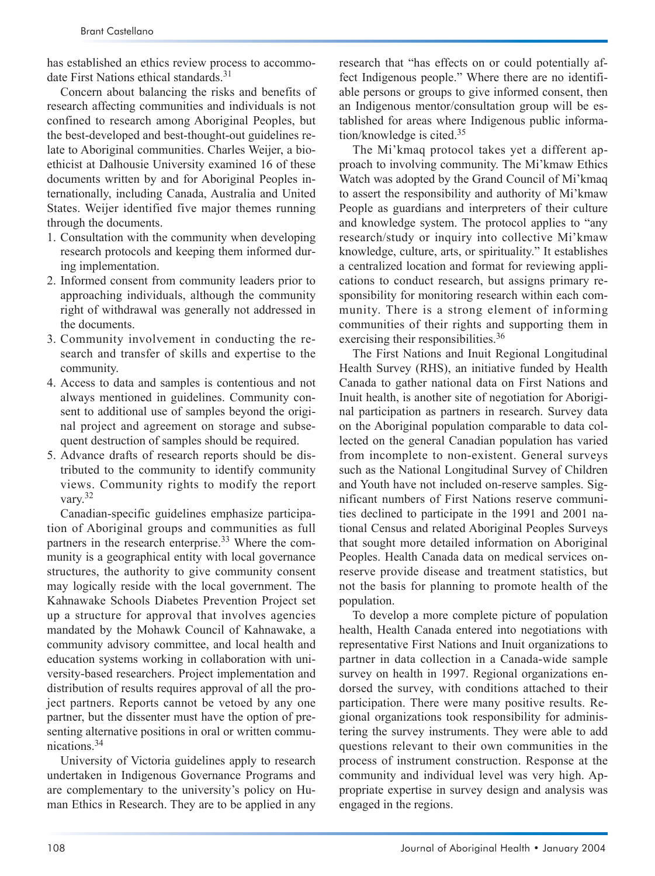has established an ethics review process to accommodate First Nations ethical standards.<sup>31</sup>

Concern about balancing the risks and benefits of research affecting communities and individuals is not confined to research among Aboriginal Peoples, but the best-developed and best-thought-out guidelines relate to Aboriginal communities. Charles Weijer, a bioethicist at Dalhousie University examined 16 of these documents written by and for Aboriginal Peoples internationally, including Canada, Australia and United States. Weijer identified five major themes running through the documents.

- 1. Consultation with the community when developing research protocols and keeping them informed during implementation.
- 2. Informed consent from community leaders prior to approaching individuals, although the community right of withdrawal was generally not addressed in the documents.
- 3. Community involvement in conducting the research and transfer of skills and expertise to the community.
- 4. Access to data and samples is contentious and not always mentioned in guidelines. Community consent to additional use of samples beyond the original project and agreement on storage and subsequent destruction of samples should be required.
- 5. Advance drafts of research reports should be distributed to the community to identify community views. Community rights to modify the report vary.32

Canadian-specific guidelines emphasize participation of Aboriginal groups and communities as full partners in the research enterprise.<sup>33</sup> Where the community is a geographical entity with local governance structures, the authority to give community consent may logically reside with the local government. The Kahnawake Schools Diabetes Prevention Project set up a structure for approval that involves agencies mandated by the Mohawk Council of Kahnawake, a community advisory committee, and local health and education systems working in collaboration with university-based researchers. Project implementation and distribution of results requires approval of all the project partners. Reports cannot be vetoed by any one partner, but the dissenter must have the option of presenting alternative positions in oral or written communications.34

University of Victoria guidelines apply to research undertaken in Indigenous Governance Programs and are complementary to the university's policy on Human Ethics in Research. They are to be applied in any research that "has effects on or could potentially affect Indigenous people." Where there are no identifiable persons or groups to give informed consent, then an Indigenous mentor/consultation group will be established for areas where Indigenous public information/knowledge is cited.35

The Mi'kmaq protocol takes yet a different approach to involving community. The Mi'kmaw Ethics Watch was adopted by the Grand Council of Mi'kmaq to assert the responsibility and authority of Mi'kmaw People as guardians and interpreters of their culture and knowledge system. The protocol applies to "any research/study or inquiry into collective Mi'kmaw knowledge, culture, arts, or spirituality." It establishes a centralized location and format for reviewing applications to conduct research, but assigns primary responsibility for monitoring research within each community. There is a strong element of informing communities of their rights and supporting them in exercising their responsibilities.<sup>36</sup>

The First Nations and Inuit Regional Longitudinal Health Survey (RHS), an initiative funded by Health Canada to gather national data on First Nations and Inuit health, is another site of negotiation for Aboriginal participation as partners in research. Survey data on the Aboriginal population comparable to data collected on the general Canadian population has varied from incomplete to non-existent. General surveys such as the National Longitudinal Survey of Children and Youth have not included on-reserve samples. Significant numbers of First Nations reserve communities declined to participate in the 1991 and 2001 national Census and related Aboriginal Peoples Surveys that sought more detailed information on Aboriginal Peoples. Health Canada data on medical services onreserve provide disease and treatment statistics, but not the basis for planning to promote health of the population.

To develop a more complete picture of population health, Health Canada entered into negotiations with representative First Nations and Inuit organizations to partner in data collection in a Canada-wide sample survey on health in 1997. Regional organizations endorsed the survey, with conditions attached to their participation. There were many positive results. Regional organizations took responsibility for administering the survey instruments. They were able to add questions relevant to their own communities in the process of instrument construction. Response at the community and individual level was very high. Appropriate expertise in survey design and analysis was engaged in the regions.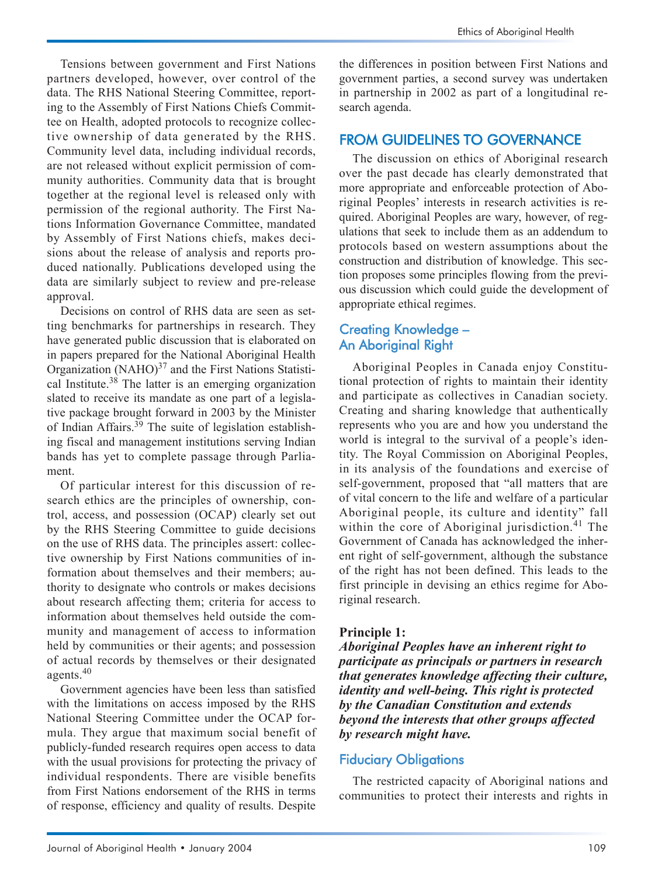Tensions between government and First Nations partners developed, however, over control of the data. The RHS National Steering Committee, reporting to the Assembly of First Nations Chiefs Committee on Health, adopted protocols to recognize collective ownership of data generated by the RHS. Community level data, including individual records, are not released without explicit permission of community authorities. Community data that is brought together at the regional level is released only with permission of the regional authority. The First Nations Information Governance Committee, mandated by Assembly of First Nations chiefs, makes decisions about the release of analysis and reports produced nationally. Publications developed using the data are similarly subject to review and pre-release approval.

Decisions on control of RHS data are seen as setting benchmarks for partnerships in research. They have generated public discussion that is elaborated on in papers prepared for the National Aboriginal Health Organization  $(NAHO)^{37}$  and the First Nations Statistical Institute.<sup>38</sup> The latter is an emerging organization slated to receive its mandate as one part of a legislative package brought forward in 2003 by the Minister of Indian Affairs.39 The suite of legislation establishing fiscal and management institutions serving Indian bands has yet to complete passage through Parliament.

Of particular interest for this discussion of research ethics are the principles of ownership, control, access, and possession (OCAP) clearly set out by the RHS Steering Committee to guide decisions on the use of RHS data. The principles assert: collective ownership by First Nations communities of information about themselves and their members; authority to designate who controls or makes decisions about research affecting them; criteria for access to information about themselves held outside the community and management of access to information held by communities or their agents; and possession of actual records by themselves or their designated agents.<sup>40</sup>

Government agencies have been less than satisfied with the limitations on access imposed by the RHS National Steering Committee under the OCAP formula. They argue that maximum social benefit of publicly-funded research requires open access to data with the usual provisions for protecting the privacy of individual respondents. There are visible benefits from First Nations endorsement of the RHS in terms of response, efficiency and quality of results. Despite

the differences in position between First Nations and government parties, a second survey was undertaken in partnership in 2002 as part of a longitudinal research agenda.

#### FROM GUIDELINES TO GOVERNANCE

The discussion on ethics of Aboriginal research over the past decade has clearly demonstrated that more appropriate and enforceable protection of Aboriginal Peoples' interests in research activities is required. Aboriginal Peoples are wary, however, of regulations that seek to include them as an addendum to protocols based on western assumptions about the construction and distribution of knowledge. This section proposes some principles flowing from the previous discussion which could guide the development of appropriate ethical regimes.

#### Creating Knowledge – An Aboriginal Right

Aboriginal Peoples in Canada enjoy Constitutional protection of rights to maintain their identity and participate as collectives in Canadian society. Creating and sharing knowledge that authentically represents who you are and how you understand the world is integral to the survival of a people's identity. The Royal Commission on Aboriginal Peoples, in its analysis of the foundations and exercise of self-government, proposed that "all matters that are of vital concern to the life and welfare of a particular Aboriginal people, its culture and identity" fall within the core of Aboriginal jurisdiction.<sup>41</sup> The Government of Canada has acknowledged the inherent right of self-government, although the substance of the right has not been defined. This leads to the first principle in devising an ethics regime for Aboriginal research.

#### **Principle 1:**

*Aboriginal Peoples have an inherent right to participate as principals or partners in research that generates knowledge affecting their culture, identity and well-being. This right is protected by the Canadian Constitution and extends beyond the interests that other groups affected by research might have.*

#### Fiduciary Obligations

The restricted capacity of Aboriginal nations and communities to protect their interests and rights in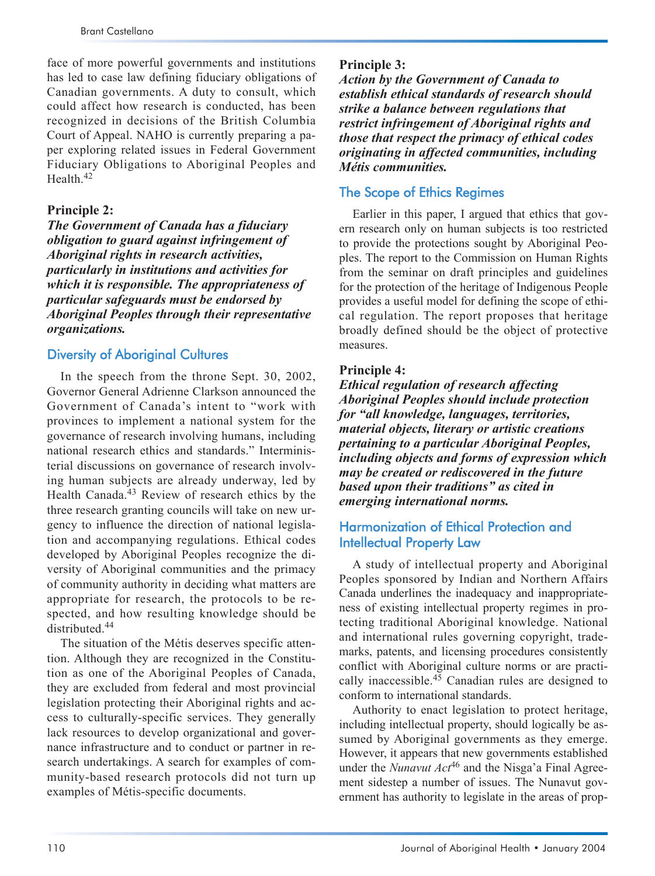face of more powerful governments and institutions has led to case law defining fiduciary obligations of Canadian governments. A duty to consult, which could affect how research is conducted, has been recognized in decisions of the British Columbia Court of Appeal. NAHO is currently preparing a paper exploring related issues in Federal Government Fiduciary Obligations to Aboriginal Peoples and Health  $42$ 

#### **Principle 2:**

*The Government of Canada has a fiduciary obligation to guard against infringement of Aboriginal rights in research activities, particularly in institutions and activities for which it is responsible. The appropriateness of particular safeguards must be endorsed by Aboriginal Peoples through their representative organizations.*

#### Diversity of Aboriginal Cultures

In the speech from the throne Sept. 30, 2002, Governor General Adrienne Clarkson announced the Government of Canada's intent to "work with provinces to implement a national system for the governance of research involving humans, including national research ethics and standards." Interministerial discussions on governance of research involving human subjects are already underway, led by Health Canada.<sup>43</sup> Review of research ethics by the three research granting councils will take on new urgency to influence the direction of national legislation and accompanying regulations. Ethical codes developed by Aboriginal Peoples recognize the diversity of Aboriginal communities and the primacy of community authority in deciding what matters are appropriate for research, the protocols to be respected, and how resulting knowledge should be distributed<sup>44</sup>

The situation of the Métis deserves specific attention. Although they are recognized in the Constitution as one of the Aboriginal Peoples of Canada, they are excluded from federal and most provincial legislation protecting their Aboriginal rights and access to culturally-specific services. They generally lack resources to develop organizational and governance infrastructure and to conduct or partner in research undertakings. A search for examples of community-based research protocols did not turn up examples of Métis-specific documents.

#### **Principle 3:**

*Action by the Government of Canada to establish ethical standards of research should strike a balance between regulations that restrict infringement of Aboriginal rights and those that respect the primacy of ethical codes originating in affected communities, including Métis communities.*

### The Scope of Ethics Regimes

Earlier in this paper, I argued that ethics that govern research only on human subjects is too restricted to provide the protections sought by Aboriginal Peoples. The report to the Commission on Human Rights from the seminar on draft principles and guidelines for the protection of the heritage of Indigenous People provides a useful model for defining the scope of ethical regulation. The report proposes that heritage broadly defined should be the object of protective measures.

#### **Principle 4:**

*Ethical regulation of research affecting Aboriginal Peoples should include protection for "all knowledge, languages, territories, material objects, literary or artistic creations pertaining to a particular Aboriginal Peoples, including objects and forms of expression which may be created or rediscovered in the future based upon their traditions" as cited in emerging international norms.*

#### Harmonization of Ethical Protection and Intellectual Property Law

A study of intellectual property and Aboriginal Peoples sponsored by Indian and Northern Affairs Canada underlines the inadequacy and inappropriateness of existing intellectual property regimes in protecting traditional Aboriginal knowledge. National and international rules governing copyright, trademarks, patents, and licensing procedures consistently conflict with Aboriginal culture norms or are practically inaccessible.<sup>45</sup> Canadian rules are designed to conform to international standards.

Authority to enact legislation to protect heritage, including intellectual property, should logically be assumed by Aboriginal governments as they emerge. However, it appears that new governments established under the *Nunavut Act*<sup>46</sup> and the Nisga'a Final Agreement sidestep a number of issues. The Nunavut government has authority to legislate in the areas of prop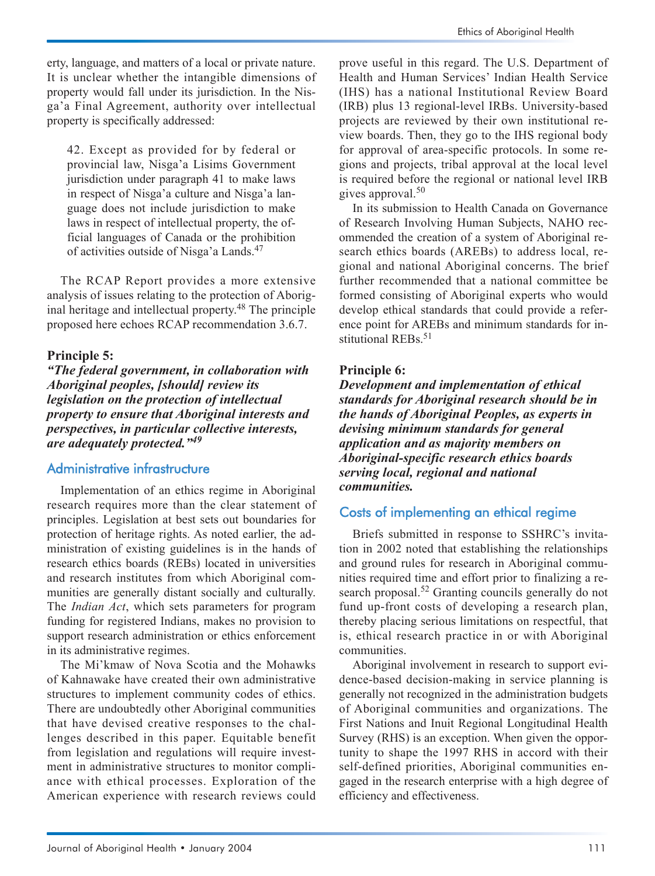erty, language, and matters of a local or private nature. It is unclear whether the intangible dimensions of property would fall under its jurisdiction. In the Nisga'a Final Agreement, authority over intellectual property is specifically addressed:

42. Except as provided for by federal or provincial law, Nisga'a Lisims Government jurisdiction under paragraph 41 to make laws in respect of Nisga'a culture and Nisga'a language does not include jurisdiction to make laws in respect of intellectual property, the official languages of Canada or the prohibition of activities outside of Nisga'a Lands.47

The RCAP Report provides a more extensive analysis of issues relating to the protection of Aboriginal heritage and intellectual property.<sup>48</sup> The principle proposed here echoes RCAP recommendation 3.6.7.

#### **Principle 5:**

*"The federal government, in collaboration with Aboriginal peoples, [should] review its legislation on the protection of intellectual property to ensure that Aboriginal interests and perspectives, in particular collective interests, are adequately protected."49*

#### Administrative infrastructure

Implementation of an ethics regime in Aboriginal research requires more than the clear statement of principles. Legislation at best sets out boundaries for protection of heritage rights. As noted earlier, the administration of existing guidelines is in the hands of research ethics boards (REBs) located in universities and research institutes from which Aboriginal communities are generally distant socially and culturally. The *Indian Act*, which sets parameters for program funding for registered Indians, makes no provision to support research administration or ethics enforcement in its administrative regimes.

The Mi'kmaw of Nova Scotia and the Mohawks of Kahnawake have created their own administrative structures to implement community codes of ethics. There are undoubtedly other Aboriginal communities that have devised creative responses to the challenges described in this paper. Equitable benefit from legislation and regulations will require investment in administrative structures to monitor compliance with ethical processes. Exploration of the American experience with research reviews could prove useful in this regard. The U.S. Department of Health and Human Services' Indian Health Service (IHS) has a national Institutional Review Board (IRB) plus 13 regional-level IRBs. University-based projects are reviewed by their own institutional review boards. Then, they go to the IHS regional body for approval of area-specific protocols. In some regions and projects, tribal approval at the local level is required before the regional or national level IRB gives approval.<sup>50</sup>

In its submission to Health Canada on Governance of Research Involving Human Subjects, NAHO recommended the creation of a system of Aboriginal research ethics boards (AREBs) to address local, regional and national Aboriginal concerns. The brief further recommended that a national committee be formed consisting of Aboriginal experts who would develop ethical standards that could provide a reference point for AREBs and minimum standards for institutional REBs<sup>51</sup>

#### **Principle 6:**

*Development and implementation of ethical standards for Aboriginal research should be in the hands of Aboriginal Peoples, as experts in devising minimum standards for general application and as majority members on Aboriginal-specific research ethics boards serving local, regional and national communities.*

#### Costs of implementing an ethical regime

Briefs submitted in response to SSHRC's invitation in 2002 noted that establishing the relationships and ground rules for research in Aboriginal communities required time and effort prior to finalizing a research proposal.<sup>52</sup> Granting councils generally do not fund up-front costs of developing a research plan, thereby placing serious limitations on respectful, that is, ethical research practice in or with Aboriginal communities.

Aboriginal involvement in research to support evidence-based decision-making in service planning is generally not recognized in the administration budgets of Aboriginal communities and organizations. The First Nations and Inuit Regional Longitudinal Health Survey (RHS) is an exception. When given the opportunity to shape the 1997 RHS in accord with their self-defined priorities, Aboriginal communities engaged in the research enterprise with a high degree of efficiency and effectiveness.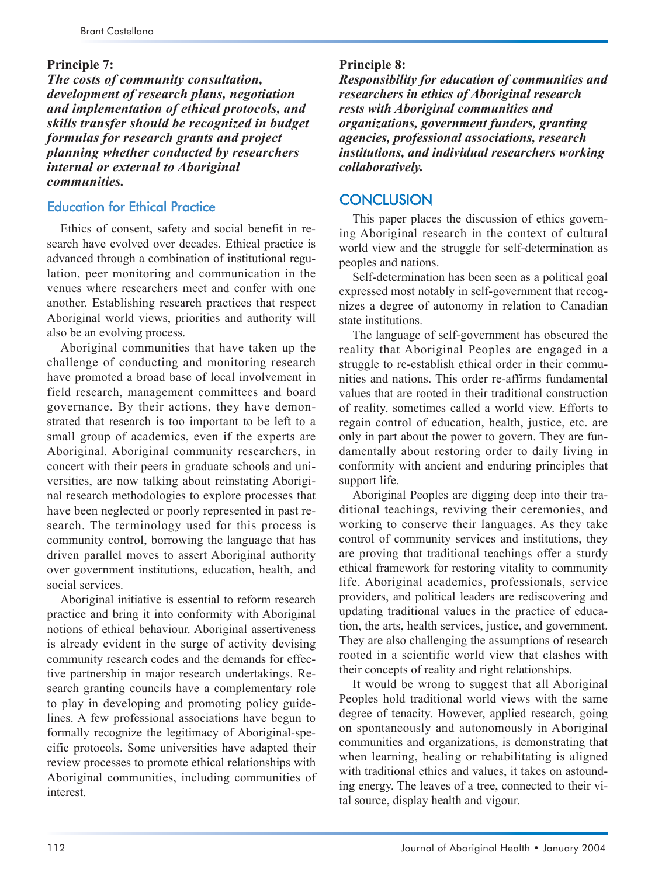#### **Principle 7:**

*The costs of community consultation, development of research plans, negotiation and implementation of ethical protocols, and skills transfer should be recognized in budget formulas for research grants and project planning whether conducted by researchers internal or external to Aboriginal communities.*

## Education for Ethical Practice

Ethics of consent, safety and social benefit in research have evolved over decades. Ethical practice is advanced through a combination of institutional regulation, peer monitoring and communication in the venues where researchers meet and confer with one another. Establishing research practices that respect Aboriginal world views, priorities and authority will also be an evolving process.

Aboriginal communities that have taken up the challenge of conducting and monitoring research have promoted a broad base of local involvement in field research, management committees and board governance. By their actions, they have demonstrated that research is too important to be left to a small group of academics, even if the experts are Aboriginal. Aboriginal community researchers, in concert with their peers in graduate schools and universities, are now talking about reinstating Aboriginal research methodologies to explore processes that have been neglected or poorly represented in past research. The terminology used for this process is community control, borrowing the language that has driven parallel moves to assert Aboriginal authority over government institutions, education, health, and social services.

Aboriginal initiative is essential to reform research practice and bring it into conformity with Aboriginal notions of ethical behaviour. Aboriginal assertiveness is already evident in the surge of activity devising community research codes and the demands for effective partnership in major research undertakings. Research granting councils have a complementary role to play in developing and promoting policy guidelines. A few professional associations have begun to formally recognize the legitimacy of Aboriginal-specific protocols. Some universities have adapted their review processes to promote ethical relationships with Aboriginal communities, including communities of interest.

#### **Principle 8:**

*Responsibility for education of communities and researchers in ethics of Aboriginal research rests with Aboriginal communities and organizations, government funders, granting agencies, professional associations, research institutions, and individual researchers working collaboratively.*

## **CONCLUSION**

This paper places the discussion of ethics governing Aboriginal research in the context of cultural world view and the struggle for self-determination as peoples and nations.

Self-determination has been seen as a political goal expressed most notably in self-government that recognizes a degree of autonomy in relation to Canadian state institutions.

The language of self-government has obscured the reality that Aboriginal Peoples are engaged in a struggle to re-establish ethical order in their communities and nations. This order re-affirms fundamental values that are rooted in their traditional construction of reality, sometimes called a world view. Efforts to regain control of education, health, justice, etc. are only in part about the power to govern. They are fundamentally about restoring order to daily living in conformity with ancient and enduring principles that support life.

Aboriginal Peoples are digging deep into their traditional teachings, reviving their ceremonies, and working to conserve their languages. As they take control of community services and institutions, they are proving that traditional teachings offer a sturdy ethical framework for restoring vitality to community life. Aboriginal academics, professionals, service providers, and political leaders are rediscovering and updating traditional values in the practice of education, the arts, health services, justice, and government. They are also challenging the assumptions of research rooted in a scientific world view that clashes with their concepts of reality and right relationships.

It would be wrong to suggest that all Aboriginal Peoples hold traditional world views with the same degree of tenacity. However, applied research, going on spontaneously and autonomously in Aboriginal communities and organizations, is demonstrating that when learning, healing or rehabilitating is aligned with traditional ethics and values, it takes on astounding energy. The leaves of a tree, connected to their vital source, display health and vigour.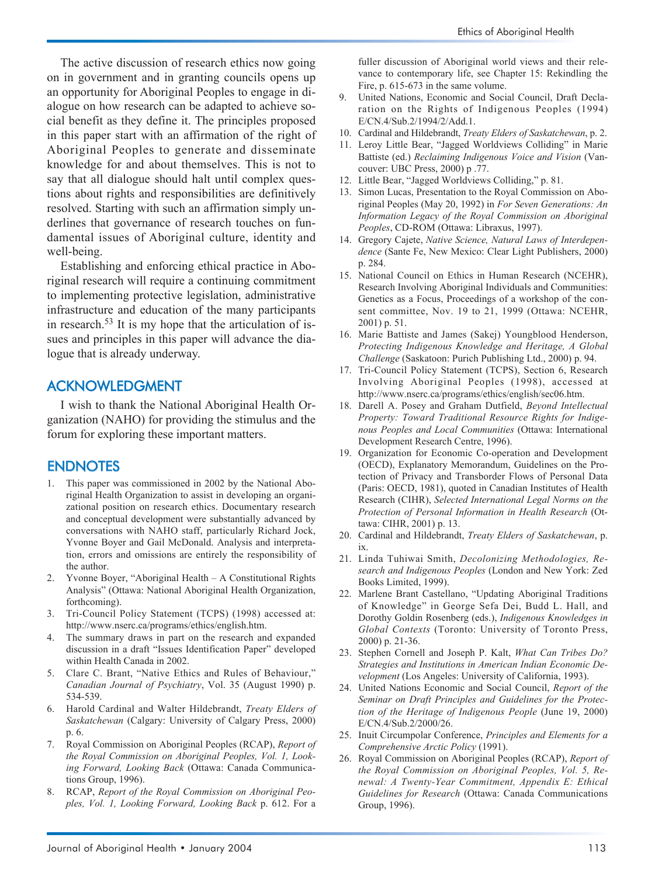The active discussion of research ethics now going on in government and in granting councils opens up an opportunity for Aboriginal Peoples to engage in dialogue on how research can be adapted to achieve social benefit as they define it. The principles proposed in this paper start with an affirmation of the right of Aboriginal Peoples to generate and disseminate knowledge for and about themselves. This is not to say that all dialogue should halt until complex questions about rights and responsibilities are definitively resolved. Starting with such an affirmation simply underlines that governance of research touches on fundamental issues of Aboriginal culture, identity and well-being.

Establishing and enforcing ethical practice in Aboriginal research will require a continuing commitment to implementing protective legislation, administrative infrastructure and education of the many participants in research.<sup>53</sup> It is my hope that the articulation of issues and principles in this paper will advance the dialogue that is already underway.

#### ACKNOWLEDGMENT

I wish to thank the National Aboriginal Health Organization (NAHO) for providing the stimulus and the forum for exploring these important matters.

## ENDNOTES

- 1. This paper was commissioned in 2002 by the National Aboriginal Health Organization to assist in developing an organizational position on research ethics. Documentary research and conceptual development were substantially advanced by conversations with NAHO staff, particularly Richard Jock, Yvonne Boyer and Gail McDonald. Analysis and interpretation, errors and omissions are entirely the responsibility of the author.
- 2. Yvonne Boyer, "Aboriginal Health A Constitutional Rights Analysis" (Ottawa: National Aboriginal Health Organization, forthcoming).
- 3. Tri-Council Policy Statement (TCPS) (1998) accessed at: http://www.nserc.ca/programs/ethics/english.htm.
- 4. The summary draws in part on the research and expanded discussion in a draft "Issues Identification Paper" developed within Health Canada in 2002.
- 5. Clare C. Brant, "Native Ethics and Rules of Behaviour," *Canadian Journal of Psychiatry*, Vol. 35 (August 1990) p. 534-539.
- 6. Harold Cardinal and Walter Hildebrandt, *Treaty Elders of Saskatchewan* (Calgary: University of Calgary Press, 2000) p. 6.
- 7. Royal Commission on Aboriginal Peoples (RCAP), *Report of the Royal Commission on Aboriginal Peoples, Vol. 1, Looking Forward, Looking Back* (Ottawa: Canada Communications Group, 1996).
- 8. RCAP, *Report of the Royal Commission on Aboriginal Peoples, Vol. 1, Looking Forward, Looking Back* p. 612. For a

fuller discussion of Aboriginal world views and their relevance to contemporary life, see Chapter 15: Rekindling the Fire, p. 615-673 in the same volume.

- 9. United Nations, Economic and Social Council, Draft Declaration on the Rights of Indigenous Peoples (1994) E/CN.4/Sub.2/1994/2/Add.1.
- 10. Cardinal and Hildebrandt, *Treaty Elders of Saskatchewan*, p. 2.
- 11. Leroy Little Bear, "Jagged Worldviews Colliding" in Marie Battiste (ed.) *Reclaiming Indigenous Voice and Vision* (Vancouver: UBC Press, 2000) p .77.
- 12. Little Bear, "Jagged Worldviews Colliding," p. 81.
- 13. Simon Lucas, Presentation to the Royal Commission on Aboriginal Peoples (May 20, 1992) in *For Seven Generations: An Information Legacy of the Royal Commission on Aboriginal Peoples*, CD-ROM (Ottawa: Libraxus, 1997).
- 14. Gregory Cajete, *Native Science, Natural Laws of Interdependence* (Sante Fe, New Mexico: Clear Light Publishers, 2000) p. 284.
- 15. National Council on Ethics in Human Research (NCEHR), Research Involving Aboriginal Individuals and Communities: Genetics as a Focus, Proceedings of a workshop of the consent committee, Nov. 19 to 21, 1999 (Ottawa: NCEHR, 2001) p. 51.
- 16. Marie Battiste and James (Sakej) Youngblood Henderson, *Protecting Indigenous Knowledge and Heritage, A Global Challenge* (Saskatoon: Purich Publishing Ltd., 2000) p. 94.
- 17. Tri-Council Policy Statement (TCPS), Section 6, Research Involving Aboriginal Peoples (1998), accessed at http://www.nserc.ca/programs/ethics/english/sec06.htm.
- 18. Darell A. Posey and Graham Dutfield, *Beyond Intellectual Property: Toward Traditional Resource Rights for Indigenous Peoples and Local Communities* (Ottawa: International Development Research Centre, 1996).
- 19. Organization for Economic Co-operation and Development (OECD), Explanatory Memorandum, Guidelines on the Protection of Privacy and Transborder Flows of Personal Data (Paris: OECD, 1981), quoted in Canadian Institutes of Health Research (CIHR), *Selected International Legal Norms on the Protection of Personal Information in Health Research* (Ottawa: CIHR, 2001) p. 13.
- 20. Cardinal and Hildebrandt, *Treaty Elders of Saskatchewan*, p. ix.
- 21. Linda Tuhiwai Smith, *Decolonizing Methodologies, Research and Indigenous Peoples* (London and New York: Zed Books Limited, 1999).
- 22. Marlene Brant Castellano, "Updating Aboriginal Traditions of Knowledge" in George Sefa Dei, Budd L. Hall, and Dorothy Goldin Rosenberg (eds.), *Indigenous Knowledges in Global Contexts* (Toronto: University of Toronto Press, 2000) p. 21-36.
- 23. Stephen Cornell and Joseph P. Kalt, *What Can Tribes Do? Strategies and Institutions in American Indian Economic Development* (Los Angeles: University of California, 1993).
- 24. United Nations Economic and Social Council, *Report of the Seminar on Draft Principles and Guidelines for the Protection of the Heritage of Indigenous People* (June 19, 2000) E/CN.4/Sub.2/2000/26.
- 25. Inuit Circumpolar Conference, *Principles and Elements for a Comprehensive Arctic Policy* (1991).
- 26. Royal Commission on Aboriginal Peoples (RCAP), *Report of the Royal Commission on Aboriginal Peoples, Vol. 5, Renewal: A Twenty-Year Commitment, Appendix E: Ethical Guidelines for Research* (Ottawa: Canada Communications Group, 1996).